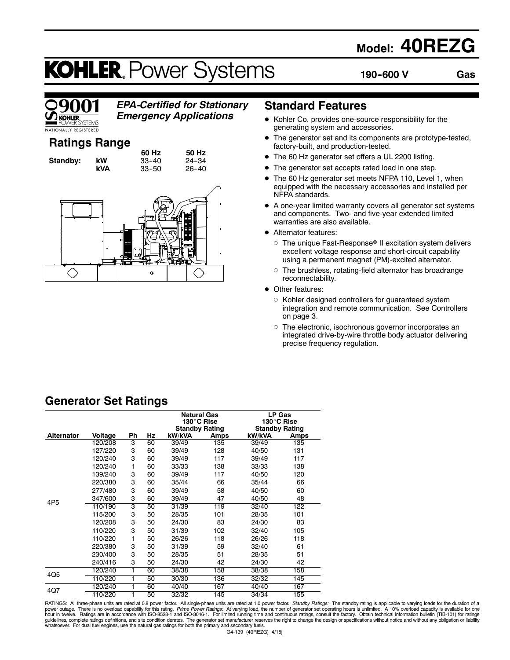# **Model: 40REZG**

# **KOHLER. Power Systems**

**190--600 V Gas**



# *EPA-Certified for Stationary*

*Emergency Applications*

# **Ratings Range**

| Standby: | kW<br><b>kVA</b> | 60 Hz<br>$33 - 40$<br>$33 - 50$ | 50 Hz<br>$24 - 34$<br>$26 - 40$ |
|----------|------------------|---------------------------------|---------------------------------|
|          |                  | . .                             |                                 |



# **Standard Features**

- Kohler Co. provides one-source responsibility for the generating system and accessories.
- The generator set and its components are prototype-tested, factory-built, and production-tested.
- The 60 Hz generator set offers a UL 2200 listing.
- The generator set accepts rated load in one step.
- The 60 Hz generator set meets NFPA 110, Level 1, when equipped with the necessary accessories and installed per NFPA standards.
- $\bullet$  A one-year limited warranty covers all generator set systems and components. Two- and five-year extended limited warranties are also available.
- **•** Alternator features:
	- $\circ$  The unique Fast-Response® II excitation system delivers excellent voltage response and short-circuit capability using a permanent magnet (PM)-excited alternator.
	- $\circ$  The brushless, rotating-field alternator has broadrange reconnectability.
- Other features:
	- $\circ$  Kohler designed controllers for guaranteed system integration and remote communication. See Controllers on page 3.
	- $\circ$  The electronic, isochronous governor incorporates an integrated drive-by-wire throttle body actuator delivering precise frequency regulation.

# **Generator Set Ratings**

|                   |         |    |    | <b>Natural Gas</b><br><b>Standby Rating</b> | 130°C Rise | LP Gas<br>130°C Rise<br><b>Standby Rating</b> |      |
|-------------------|---------|----|----|---------------------------------------------|------------|-----------------------------------------------|------|
| <b>Alternator</b> | Voltage | Ph | Ηz | kW/kVA                                      | Amps       | kW/kVA                                        | Amps |
|                   | 120/208 | 3  | 60 | 39/49                                       | 135        | 39/49                                         | 135  |
|                   | 127/220 | 3  | 60 | 39/49                                       | 128        | 40/50                                         | 131  |
|                   | 120/240 | 3  | 60 | 39/49                                       | 117        | 39/49                                         | 117  |
|                   | 120/240 | 1  | 60 | 33/33                                       | 138        | 33/33                                         | 138  |
|                   | 139/240 | 3  | 60 | 39/49                                       | 117        | 40/50                                         | 120  |
|                   | 220/380 | 3  | 60 | 35/44                                       | 66         | 35/44                                         | 66   |
|                   | 277/480 | 3  | 60 | 39/49                                       | 58         | 40/50                                         | 60   |
|                   | 347/600 | 3  | 60 | 39/49                                       | 47         | 40/50                                         | 48   |
| 4P <sub>5</sub>   | 110/190 | 3  | 50 | 31/39                                       | 119        | 32/40                                         | 122  |
|                   | 115/200 | 3  | 50 | 28/35                                       | 101        | 28/35                                         | 101  |
|                   | 120/208 | 3  | 50 | 24/30                                       | 83         | 24/30                                         | 83   |
|                   | 110/220 | 3  | 50 | 31/39                                       | 102        | 32/40                                         | 105  |
|                   | 110/220 | 1  | 50 | 26/26                                       | 118        | 26/26                                         | 118  |
|                   | 220/380 | 3  | 50 | 31/39                                       | 59         | 32/40                                         | 61   |
|                   | 230/400 | 3  | 50 | 28/35                                       | 51         | 28/35                                         | 51   |
|                   | 240/416 | 3  | 50 | 24/30                                       | 42         | 24/30                                         | 42   |
|                   | 120/240 |    | 60 | 38/38                                       | 158        | 38/38                                         | 158  |
| 4Q5               | 110/220 |    | 50 | 30/30                                       | 136        | 32/32                                         | 145  |
|                   | 120/240 |    | 60 | 40/40                                       | 167        | 40/40                                         | 167  |
| 4Q7               | 110/220 |    | 50 | 32/32                                       | 145        | 34/34                                         | 155  |

RATINGS: All three-phase units are rated at 0.8 power factor. All single-phase units are rated at 1.0 power factor. *Standby Ratings*: The standby rating is applicable to varying loads for the duration of a<br>power outage. T guidelines, complete ratings definitions, and site condition derates. The generator set manufacturer reserves the right to change the design or specifications without notice and without any obligation or liability whatsoever. For dual fuel engines, use the natural gas ratings for both the primary and secondary fuels.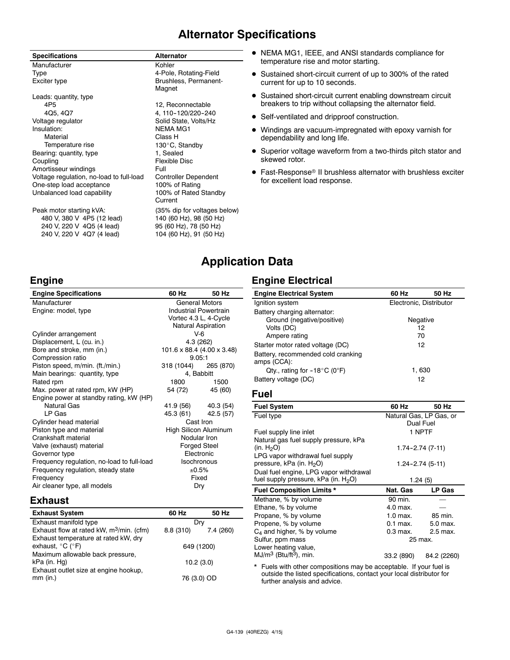# **Alternator Specifications**

| <b>Specifications</b>                    | <b>Alternator</b>                |
|------------------------------------------|----------------------------------|
| Manufacturer                             | Kohler                           |
| Type                                     | 4-Pole, Rotating-Field           |
| Exciter type                             | Brushless, Permanent-<br>Magnet  |
| Leads: quantity, type                    |                                  |
| 4P5                                      | 12, Reconnectable                |
| 4Q5, 4Q7                                 | 4, 110-120/220-240               |
| Voltage regulator                        | Solid State, Volts/Hz            |
| Insulation:                              | <b>NEMA MG1</b>                  |
| Material                                 | Class H                          |
| Temperature rise                         | 130°C, Standby                   |
| Bearing: quantity, type                  | 1, Sealed                        |
| Coupling                                 | Flexible Disc                    |
| Amortisseur windings                     | Full                             |
| Voltage regulation, no-load to full-load | <b>Controller Dependent</b>      |
| One-step load acceptance                 | 100% of Rating                   |
| Unbalanced load capability               | 100% of Rated Standby<br>Current |
| Peak motor starting kVA:                 | (35% dip for voltages be         |
| 480 V, 380 V 4P5 (12 lead)               | 140 (60 Hz), 98 (50 Hz)          |

240 V, 220 V 4Q5 (4 lead) 95 (60 Hz), 78 (50 Hz)<br>240 V, 220 V 4Q7 (4 lead) 104 (60 Hz), 91 (50 Hz) 240 V, 220 V 4Q7 (4 lead)

ges below)

- $\bullet$  NEMA MG1, IEEE, and ANSI standards compliance for temperature rise and motor starting.
- Sustained short-circuit current of up to 300% of the rated current for up to 10 seconds.
- Sustained short-circuit current enabling downstream circuit breakers to trip without collapsing the alternator field.
- Self-ventilated and dripproof construction.
- Windings are vacuum-impregnated with epoxy varnish for dependability and long life.
- Superior voltage waveform from a two-thirds pitch stator and skewed rotor.
- $\bullet$  Fast-Response® II brushless alternator with brushless exciter for excellent load response.

# **Application Data**

# **Engine Electrical**

| <b>Engine Specifications</b>                    | 60 Hz                      | 50 Hz     |
|-------------------------------------------------|----------------------------|-----------|
| Manufacturer                                    | <b>General Motors</b>      |           |
| Engine: model, type                             | Industrial Powertrain      |           |
|                                                 | Vortec 4.3 L, 4-Cycle      |           |
|                                                 | <b>Natural Aspiration</b>  |           |
| Cylinder arrangement                            | V-6                        |           |
| Displacement, L (cu. in.)                       | 4.3 (262)                  |           |
| Bore and stroke, mm (in.)                       | 101.6 x 88.4 (4.00 x 3.48) |           |
| Compression ratio                               | 9.05:1                     |           |
| Piston speed, m/min. (ft./min.)                 | 318 (1044) 265 (870)       |           |
| Main bearings: quantity, type                   | 4, Babbitt                 |           |
| Rated rpm                                       | 1800                       | 1500      |
| Max. power at rated rpm, kW (HP)                | 54 (72)                    | 45 (60)   |
| Engine power at standby rating, kW (HP)         |                            |           |
| Natural Gas                                     | 41.9 (56)                  | 40.3 (54) |
| I P Gas                                         | 45.3 (61)                  | 42.5 (57) |
| Cylinder head material                          | Cast Iron                  |           |
| Piston type and material                        | High Silicon Aluminum      |           |
| Crankshaft material                             | Nodular Iron               |           |
| Valve (exhaust) material<br><b>Forged Steel</b> |                            |           |
| Electronic<br>Governor type                     |                            |           |
| Frequency regulation, no-load to full-load      | Isochronous                |           |
| Frequency regulation, steady state              | ±0.5%                      |           |
| Frequency                                       | Fixed                      |           |
| Air cleaner type, all models                    | Dry                        |           |

| <b>Engine Electrical System</b>                   | 60 Hz                   | 50 Hz    |  |  |
|---------------------------------------------------|-------------------------|----------|--|--|
| Ignition system                                   | Electronic, Distributor |          |  |  |
| Battery charging alternator:                      |                         |          |  |  |
| Ground (negative/positive)                        |                         | Negative |  |  |
| Volts (DC)                                        |                         | 12       |  |  |
| Ampere rating                                     |                         | 70       |  |  |
| Starter motor rated voltage (DC)                  | 12                      |          |  |  |
| Battery, recommended cold cranking<br>amps (CCA): |                         |          |  |  |
| Qty., rating for $-18^{\circ}$ C (0°F)            | 1,630                   |          |  |  |
| Battery voltage (DC)                              | 12                      |          |  |  |
| Fuel                                              |                         |          |  |  |
| <b>Fuel System</b>                                | 60 Hz                   | 50 Hz    |  |  |
| Fuel type                                         | Natural Gas, LP Gas, or |          |  |  |

| . <del>.</del>                                                                                                     |                                             |             |
|--------------------------------------------------------------------------------------------------------------------|---------------------------------------------|-------------|
| Fuel type                                                                                                          | Natural Gas, LP Gas, or<br><b>Dual Fuel</b> |             |
| Fuel supply line inlet                                                                                             |                                             | 1 NPTF      |
| Natural gas fuel supply pressure, kPa<br>(in. $H_2O$ )                                                             | $1.74 - 2.74(7-11)$                         |             |
| LPG vapor withdrawal fuel supply<br>pressure, kPa (in. H <sub>2</sub> O)<br>Dual fuel engine, LPG vapor withdrawal | $1.24 - 2.74(5-11)$                         |             |
| fuel supply pressure, kPa (in. $H_2O$ )                                                                            | 1.24(5)                                     |             |
|                                                                                                                    |                                             |             |
| <b>Fuel Composition Limits *</b>                                                                                   | Nat. Gas                                    | LP Gas      |
| Methane, % by volume                                                                                               | 90 min.                                     |             |
| Ethane, % by volume                                                                                                | 4.0 max.                                    |             |
| Propane, % by volume                                                                                               | $1.0$ max.                                  | 85 min.     |
| Propene, % by volume                                                                                               | $0.1$ max.                                  | 5.0 max.    |
| $C_4$ and higher, % by volume                                                                                      | $0.3$ max.                                  | 2.5 max.    |
| Sulfur, ppm mass                                                                                                   | 25 max.                                     |             |
| Lower heating value,<br>$MJ/m3$ (Btu/ft <sup>3</sup> ), min.                                                       | 33.2 (890)                                  | 84.2 (2260) |

\* Fuels with other compositions may be acceptable. If your fuel is outside the listed specifications, contact your local distributor for further analysis and advice.

### **Engine**

| Manufacturer                               |                                       | <b>General Motors</b> |  |
|--------------------------------------------|---------------------------------------|-----------------------|--|
| Engine: model, type                        | <b>Industrial Powertrair</b>          |                       |  |
|                                            | Vortec 4.3 L, 4-Cycle                 |                       |  |
|                                            |                                       | Natural Aspiration    |  |
| Cylinder arrangement                       | $V-6$                                 |                       |  |
| Displacement, L (cu. in.)                  | 4.3 (262)                             |                       |  |
| Bore and stroke, mm (in.)                  | $101.6 \times 88.4$ (4.00 $\times$ 3. |                       |  |
| Compression ratio                          | 9.05:1                                |                       |  |
| Piston speed, m/min. (ft./min.)            | 318 (1044) 265 (87                    |                       |  |
| Main bearings: quantity, type              |                                       | 4, Babbitt            |  |
| Rated rpm                                  | 1800                                  | 1500                  |  |
| Max. power at rated rpm, kW (HP)           | 54 (72)                               | 45 (60                |  |
| Engine power at standby rating, kW (HP)    |                                       |                       |  |
| <b>Natural Gas</b>                         | 41.9 (56) 40.3 (5                     |                       |  |
| LP Gas                                     | 45.3 (61) 42.5 (5                     |                       |  |
| Cylinder head material                     | Cast Iron                             |                       |  |
| Piston type and material                   | High Silicon Aluminur                 |                       |  |
| Crankshaft material                        |                                       | Nodular Iron          |  |
| Valve (exhaust) material                   | <b>Forged Steel</b>                   |                       |  |
| Governor type                              |                                       | Electronic            |  |
| Frequency regulation, no-load to full-load | Isochronous                           |                       |  |
| Frequency regulation, steady state         | ±0.5%                                 |                       |  |
| Frequency                                  | Fixed                                 |                       |  |
| Air cleaner type, all models               | Dry                                   |                       |  |
| Exhaust                                    |                                       |                       |  |
|                                            |                                       |                       |  |

| <b>Exhaust System</b>                                | 60 Hz       | 50 Hz    |
|------------------------------------------------------|-------------|----------|
| Exhaust manifold type                                | Dry         |          |
| Exhaust flow at rated kW, m <sup>3</sup> /min. (cfm) | 8.8(310)    | 7.4(260) |
| Exhaust temperature at rated kW, dry                 |             |          |
| exhaust, $^{\circ}$ C ( $^{\circ}$ F)                | 649 (1200)  |          |
| Maximum allowable back pressure,                     |             |          |
| kPa (in. Hg)                                         | 10.2(3.0)   |          |
| Exhaust outlet size at engine hookup,                |             |          |
| $mm$ (in.)                                           | 76 (3.0) OD |          |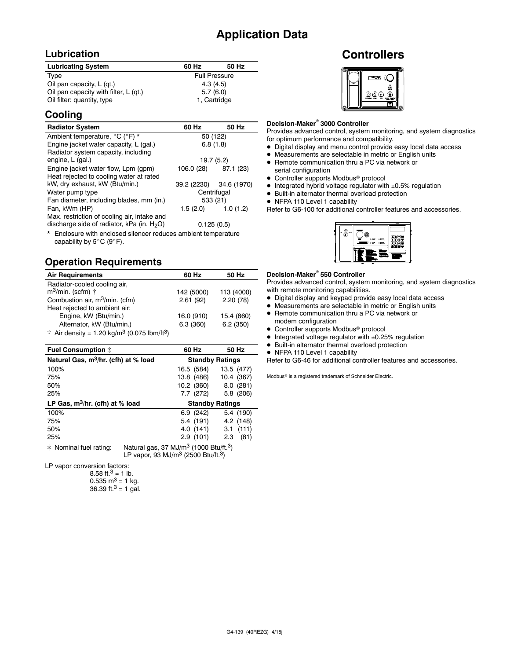# **Application Data**

## **Lubrication**

| <b>Lubricating System</b>                  | 60 Hz                | 50 Hz |
|--------------------------------------------|----------------------|-------|
| Type                                       | <b>Full Pressure</b> |       |
| Oil pan capacity, L (qt.)                  | 4.3(4.5)             |       |
| Oil pan capacity with filter, L (qt.)      | 5.7(6.0)             |       |
| Oil filter: quantity, type<br>1, Cartridge |                      |       |

# **Cooling**

| <b>Radiator System</b>                        | 60 Hz                | 50 Hz                   |  |
|-----------------------------------------------|----------------------|-------------------------|--|
| Ambient temperature, °C (°F) *                | 50 (122)             |                         |  |
| Engine jacket water capacity, L (gal.)        | 6.8(1.8)             |                         |  |
| Radiator system capacity, including           |                      |                         |  |
| engine, L (gal.)                              | 19.7(5.2)            |                         |  |
| Engine jacket water flow, Lpm (gpm)           | 106.0 (28) 87.1 (23) |                         |  |
| Heat rejected to cooling water at rated       |                      |                         |  |
| kW, dry exhaust, kW (Btu/min.)                |                      | 39.2 (2230) 34.6 (1970) |  |
| Water pump type                               | Centrifugal          |                         |  |
| Fan diameter, including blades, mm (in.)      | 533 (21)             |                         |  |
| Fan, kWm (HP)                                 |                      | $1.5(2.0)$ $1.0(1.2)$   |  |
| Max. restriction of cooling air, intake and   |                      |                         |  |
| discharge side of radiator, kPa (in. $H_2O$ ) | 0.125(0.5)           |                         |  |

\* Enclosure with enclosed silencer reduces ambient temperature capability by  $5^{\circ}$ C (9 $^{\circ}$ F).

# **Operation Requirements**

| <b>Air Requirements</b>                                                     | 60 Hz      | 50 Hz      |
|-----------------------------------------------------------------------------|------------|------------|
| Radiator-cooled cooling air,                                                |            |            |
| $m^3$ /min. (scfm) $\uparrow$                                               | 142 (5000) | 113 (4000) |
| Combustion air, m <sup>3</sup> /min. (cfm)                                  | 2.61(92)   | 2.20(78)   |
| Heat rejected to ambient air:                                               |            |            |
| Engine, kW (Btu/min.)                                                       | 16.0 (910) | 15.4 (860) |
| Alternator, kW (Btu/min.)                                                   | 6.3(360)   | 6.2(350)   |
| $\dagger$ Air density = 1.20 kg/m <sup>3</sup> (0.075 lbm/ft <sup>3</sup> ) |            |            |

| Fuel Consumption $\ddagger$                      |                                                                                                                               | 60 Hz                  | 50 Hz        |
|--------------------------------------------------|-------------------------------------------------------------------------------------------------------------------------------|------------------------|--------------|
| Natural Gas, m <sup>3</sup> /hr. (cfh) at % load |                                                                                                                               | <b>Standby Ratings</b> |              |
| 100%                                             |                                                                                                                               | 16.5 (584)             | 13.5 (477)   |
| 75%                                              |                                                                                                                               | 13.8 (486)             | 10.4 (367)   |
| 50%                                              |                                                                                                                               | 10.2 (360)             | 8.0(281)     |
| 25%                                              |                                                                                                                               | 7.7 (272)              | 5.8 (206)    |
| LP Gas, $m^3/hr$ . (cfh) at % load               |                                                                                                                               | <b>Standby Ratings</b> |              |
| 100%                                             |                                                                                                                               | 6.9(242)               | 5.4 (190)    |
| 75%                                              |                                                                                                                               | 5.4 (191)              | 4.2(148)     |
| 50%                                              |                                                                                                                               | 4.0 (141)              | (111)<br>3.1 |
| 25%                                              |                                                                                                                               | 2.9(101)               | (81)<br>2.3  |
| * Nominal fuel rating:                           | Natural gas, 37 MJ/m <sup>3</sup> (1000 Btu/ft. <sup>3</sup> )<br>LP vapor, 93 MJ/m <sup>3</sup> (2500 Btu/ft. <sup>3</sup> ) |                        |              |

LP vapor conversion factors:

8.58 ft. $3 = 1$  lb.  $0.535 \text{ m}^3 = 1 \text{ kg}.$ 

36.39 ft. $3 = 1$  gal.

# **Controllers**



#### **Decision-Maker<sup>®</sup> 3000 Controller**

Provides advanced control, system monitoring, and system diagnostics for optimum performance and compatibility.

- $\bullet$  Digital display and menu control provide easy local data access
- $\bullet$  Measurements are selectable in metric or English units
- Remote communication thru a PC via network or serial configuration
- Controller supports Modbus<sup>®</sup> protocol
- $\bullet$  Integrated hybrid voltage regulator with  $\pm 0.5\%$  regulation
- $\bullet$  Built-in alternator thermal overload protection
- NFPA 110 Level 1 capability

Refer to G6-100 for additional controller features and accessories.



#### **Decision-Maker<sup>®</sup> 550 Controller**

Provides advanced control, system monitoring, and system diagnostics with remote monitoring capabilities.

- $\bullet$  Digital display and keypad provide easy local data access
- Measurements are selectable in metric or English units
- Remote communication thru a PC via network or modem configuration
- $\bullet$  Controller supports Modbus<sup>®</sup> protocol
- $\bullet$  Integrated voltage regulator with  $\pm 0.25\%$  regulation
- $\bullet$  Built-in alternator thermal overload protection
- NFPA 110 Level 1 capability

Refer to G6-46 for additional controller features and accessories.

Modbus<sup>®</sup> is a registered trademark of Schneider Electric.